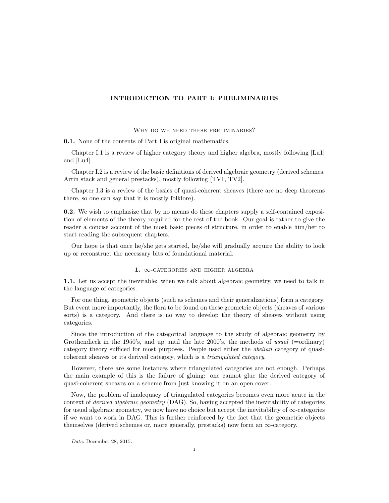## INTRODUCTION TO PART I: PRELIMINARIES

WHY DO WE NEED THESE PRELIMINARIES?

0.1. None of the contents of Part I is original mathematics.

Chapter I.1 is a review of higher category theory and higher algebra, mostly following [Lu1] and [Lu4].

Chapter I.2 is a review of the basic definitions of derived algebraic geometry (derived schemes, Artin stack and general prestacks), mostly following [TV1, TV2].

Chapter I.3 is a review of the basics of quasi-coherent sheaves (there are no deep theorems there, so one can say that it is mostly folklore).

0.2. We wish to emphasize that by no means do these chapters supply a self-contained exposition of elements of the theory required for the rest of the book. Our goal is rather to give the reader a concise account of the most basic pieces of structure, in order to enable him/her to start reading the subsequent chapters.

Our hope is that once he/she gets started, he/she will gradually acquire the ability to look up or reconstruct the necessary bits of foundational material.

## 1.  $\infty$ -CATEGORIES AND HIGHER ALGEBRA

1.1. Let us accept the inevitable: when we talk about algebraic geometry, we need to talk in the language of categories.

For one thing, geometric objects (such as schemes and their generalizations) form a category. But event more importantly, the flora to be found on these geometric objects (sheaves of various sorts) is a category. And there is no way to develop the theory of sheaves without using categories.

Since the introduction of the categorical language to the study of algebraic geometry by Grothendieck in the 1950's, and up until the late 2000's, the methods of usual (=ordinary) category theory sufficed for most purposes. People used either the abelian category of quasicoherent sheaves or its derived category, which is a triangulated category.

However, there are some instances where triangulated categories are not enough. Perhaps the main example of this is the failure of gluing: one cannot glue the derived category of quasi-coherent sheaves on a scheme from just knowing it on an open cover.

Now, the problem of inadequacy of triangulated categories becomes even more acute in the context of derived algebraic geometry (DAG). So, having accepted the inevitability of categories for usual algebraic geometry, we now have no choice but accept the inevitability of  $\infty$ -categories if we want to work in DAG. This is further reinforced by the fact that the geometric objects themselves (derived schemes or, more generally, prestacks) now form an  $\infty$ -category.

Date: December 28, 2015.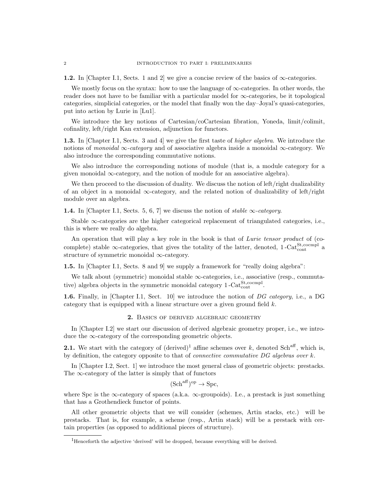**1.2.** In [Chapter I.1, Sects. 1 and 2] we give a concise review of the basics of  $\infty$ -categories.

We mostly focus on the syntax: how to use the language of  $\infty$ -categories. In other words, the reader does not have to be familiar with a particular model for  $\infty$ -categories, be it topological categories, simplicial categories, or the model that finally won the day–Joyal's quasi-categories, put into action by Lurie in [Lu1].

We introduce the key notions of Cartesian/coCartesian fibration, Yoneda, limit/colimit, cofinality, left/right Kan extension, adjunction for functors.

1.3. In [Chapter I.1, Sects. 3 and 4] we give the first taste of *higher algebra*. We introduce the notions of monoidal  $\infty$ -category and of associative algebra inside a monoidal  $\infty$ -category. We also introduce the corresponding commutative notions.

We also introduce the corresponding notions of module (that is, a module category for a given monoidal  $\infty$ -category, and the notion of module for an associative algebra).

We then proceed to the discussion of duality. We discuss the notion of left/right dualizability of an object in a monoidal  $\infty$ -category, and the related notion of dualizability of left/right module over an algebra.

**1.4.** In [Chapter I.1, Sects. 5, 6, 7] we discuss the notion of stable  $\infty$ -category.

Stable  $\infty$ -categories are the higher categorical replacement of triangulated categories, i.e., this is where we really do algebra.

An operation that will play a key role in the book is that of Lurie tensor product of (cocomplete) stable  $\infty$ -categories, that gives the totality of the latter, denoted, 1-Cat $_{\text{cont}}^{\text{St,coempl}}$  a structure of symmetric monoidal  $\infty$ -category.

**1.5.** In [Chapter I.1, Sects. 8 and 9] we supply a framework for "really doing algebra":

We talk about (symmetric) monoidal stable ∞-categories, i.e., associative (resp., commutative) algebra objects in the symmetric monoidal category  $1$ -Cat<sup>St</sup>,<sup>cocmpl</sup>.

1.6. Finally, in [Chapter I.1, Sect. 10] we introduce the notion of DG category, i.e., a DG category that is equipped with a linear structure over a given ground field k.

## 2. Basics of derived algebraic geometry

In [Chapter I.2] we start our discussion of derived algebraic geometry proper, i.e., we introduce the  $\infty$ -category of the corresponding geometric objects.

**2.1.** We start with the category of  $(\text{derived})^1$  affine schemes over k, denoted Sch<sup>aff</sup>, which is, by definition, the category opposite to that of *connective commutative DG algebras over k*.

In [Chapter I.2, Sect. 1] we introduce the most general class of geometric objects: prestacks. The  $\infty$ -category of the latter is simply that of functors

 $(Sch^{aff})^{op} \to Spc,$ 

where Spc is the  $\infty$ -category of spaces (a.k.a.  $\infty$ -groupoids). I.e., a prestack is just something that has a Grothendieck functor of points.

All other geometric objects that we will consider (schemes, Artin stacks, etc.) will be prestacks. That is, for example, a scheme (resp., Artin stack) will be a prestack with certain properties (as opposed to additional pieces of structure).

<sup>1</sup>Henceforth the adjective 'derived' will be dropped, because everything will be derived.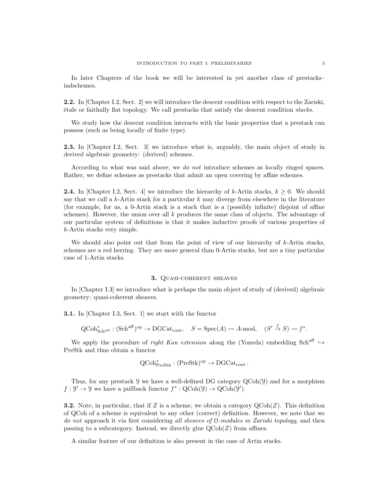In later Chapters of the book we will be interested in yet another class of prestacks– indschemes.

2.2. In [Chapter I.2, Sect. 2] we will introduce the descent condition with respect to the Zariski, ´etale or faithully flat topology. We call prestacks that satisfy the descent condition stacks.

We study how the descent condition interacts with the basic properties that a prestack can possess (such as being locally of finite type).

2.3. In [Chapter I.2, Sect. 3] we introduce what is, arguably, the main object of study in derived algebraic geometry: (derived) schemes.

According to what was said above, we do not introduce schemes as locally ringed spaces. Rather, we define schemes as prestacks that admit an open covering by affine schemes.

**2.4.** In [Chapter I.2, Sect. 4] we introduce the hierarchy of k-Artin stacks,  $k \geq 0$ . We should say that we call a  $k$ -Artin stack for a particular  $k$  may diverge from elsewhere in the literature (for example, for us, a 0-Artin stack is a stack that is a (possibly infinite) disjoint of affine schemes). However, the union over all k produces the same class of objects. The advantage of our particular system of definitions is that it makes inductive proofs of various properties of k-Artin stacks very simple.

We should also point out that from the point of view of our hierarchy of  $k$ -Artin stacks, schemes are a red herring. They are more general than 0-Artin stacks, but are a tiny particular case of 1-Artin stacks.

## 3. Quasi-coherent sheaves

In [Chapter I.3] we introduce what is perhaps the main object of study of (derived) algebraic geometry: quasi-coherent sheaves.

3.1. In [Chapter I.3, Sect. 1] we start with the functor

$$
\text{QCoh}_{\text{Sch}^{\text{aff}}}^* : (\text{Sch}^{\text{aff}})^{\text{op}} \to \text{DGCat}_{\text{cont}}, \quad S = \text{Spec}(A) \rightsquigarrow A \text{-mod}, \quad (S' \xrightarrow{f} S) \rightsquigarrow f^*.
$$

We apply the procedure of right Kan extension along the (Yoneda) embedding Sch<sup>aff</sup>  $\rightarrow$ PreStk and thus obtain a functor

$$
\operatorname{QCoh}\nolimits^*_\operatorname{PreStk}\nolimits : (\operatorname{PreStk}\nolimits)^{\operatorname{op}\nolimits} \to \operatorname{DGCat}\nolimits_{\operatorname{cont}\nolimits}.
$$

Thus, for any prestack  $\mathcal Y$  we have a well-defined DG category  $QCoh(\mathcal Y)$  and for a morphism  $f: \mathcal{Y}' \to \mathcal{Y}$  we have a pullback functor  $f^*: \mathrm{QCoh}(\mathcal{Y}) \to \mathrm{QCoh}(\mathcal{Y}')$ .

**3.2.** Note, in particular, that if Z is a scheme, we obtain a category  $QCoh(Z)$ . This definition of QCoh of a scheme is equivalent to any other (correct) definition. However, we note that we do not approach it via first considering all sheaves of 0-modules in Zariski topology, and then passing to a subcategory. Instead, we directly glue  $QCoh(Z)$  from affines.

A similar feature of our definition is also present in the case of Artin stacks.